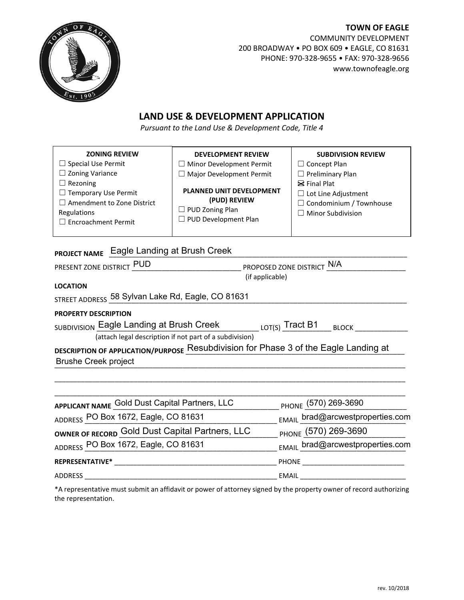

**TOWN OF EAGLE** COMMUNITY DEVELOPMENT 200 BROADWAY • PO BOX 609 • EAGLE, CO 81631 PHONE: 970-328-9655 • FAX: 970-328-9656 www.townofeagle.org

## **LAND USE & DEVELOPMENT APPLICATION**

*Pursuant to the Land Use & Development Code, Title 4*

| <b>ZONING REVIEW</b><br><b>DEVELOPMENT REVIEW</b><br><b>SUBDIVISION REVIEW</b><br>$\Box$ Special Use Permit<br>$\Box$ Minor Development Permit<br>$\Box$ Concept Plan<br>$\Box$ Zoning Variance<br>$\Box$ Major Development Permit<br>$\Box$ Preliminary Plan<br>$\Box$ Rezoning<br>$\boxtimes$ Final Plat<br><b>PLANNED UNIT DEVELOPMENT</b><br>$\Box$ Temporary Use Permit<br>$\Box$ Lot Line Adjustment<br>(PUD) REVIEW<br>$\Box$ Amendment to Zone District<br>$\Box$ Condominium / Townhouse<br>$\Box$ PUD Zoning Plan<br>Regulations<br>$\Box$ Minor Subdivision<br>$\Box$ PUD Development Plan<br>$\Box$ Encroachment Permit<br>PROJECT NAME Eagle Landing at Brush Creek<br>PRESENT ZONE DISTRICT PUD<br>______________ PROPOSED ZONE DISTRICT N/A<br>(if applicable)<br><b>LOCATION</b><br>STREET ADDRESS 58 Sylvan Lake Rd, Eagle, CO 81631<br><b>PROPERTY DESCRIPTION</b><br>SUBDIVISION Eagle Landing at Brush Creek<br>(attach legal description if not part of a subdivision)<br>DESCRIPTION OF APPLICATION/PURPOSE Resubdivision for Phase 3 of the Eagle Landing at<br><b>Brushe Creek project</b><br>APPLICANT NAME Gold Dust Capital Partners, LLC<br>PHONE (570) 269-3690<br>ADDRESS PO Box 1672, Eagle, CO 81631<br>EMAIL_brad@arcwestproperties.com<br>OWNER OF RECORD Gold Dust Capital Partners, LLC<br>PHONE (570) 269-3690<br>ADDRESS PO Box 1672, Eagle, CO 81631<br>EMAIL_brad@arcwestproperties.com |  |  |  |  |  |  |
|---------------------------------------------------------------------------------------------------------------------------------------------------------------------------------------------------------------------------------------------------------------------------------------------------------------------------------------------------------------------------------------------------------------------------------------------------------------------------------------------------------------------------------------------------------------------------------------------------------------------------------------------------------------------------------------------------------------------------------------------------------------------------------------------------------------------------------------------------------------------------------------------------------------------------------------------------------------------------------------------------------------------------------------------------------------------------------------------------------------------------------------------------------------------------------------------------------------------------------------------------------------------------------------------------------------------------------------------------------------------------------------------------------------------------------|--|--|--|--|--|--|
|                                                                                                                                                                                                                                                                                                                                                                                                                                                                                                                                                                                                                                                                                                                                                                                                                                                                                                                                                                                                                                                                                                                                                                                                                                                                                                                                                                                                                                 |  |  |  |  |  |  |
|                                                                                                                                                                                                                                                                                                                                                                                                                                                                                                                                                                                                                                                                                                                                                                                                                                                                                                                                                                                                                                                                                                                                                                                                                                                                                                                                                                                                                                 |  |  |  |  |  |  |
|                                                                                                                                                                                                                                                                                                                                                                                                                                                                                                                                                                                                                                                                                                                                                                                                                                                                                                                                                                                                                                                                                                                                                                                                                                                                                                                                                                                                                                 |  |  |  |  |  |  |
|                                                                                                                                                                                                                                                                                                                                                                                                                                                                                                                                                                                                                                                                                                                                                                                                                                                                                                                                                                                                                                                                                                                                                                                                                                                                                                                                                                                                                                 |  |  |  |  |  |  |
|                                                                                                                                                                                                                                                                                                                                                                                                                                                                                                                                                                                                                                                                                                                                                                                                                                                                                                                                                                                                                                                                                                                                                                                                                                                                                                                                                                                                                                 |  |  |  |  |  |  |
|                                                                                                                                                                                                                                                                                                                                                                                                                                                                                                                                                                                                                                                                                                                                                                                                                                                                                                                                                                                                                                                                                                                                                                                                                                                                                                                                                                                                                                 |  |  |  |  |  |  |
|                                                                                                                                                                                                                                                                                                                                                                                                                                                                                                                                                                                                                                                                                                                                                                                                                                                                                                                                                                                                                                                                                                                                                                                                                                                                                                                                                                                                                                 |  |  |  |  |  |  |
|                                                                                                                                                                                                                                                                                                                                                                                                                                                                                                                                                                                                                                                                                                                                                                                                                                                                                                                                                                                                                                                                                                                                                                                                                                                                                                                                                                                                                                 |  |  |  |  |  |  |
|                                                                                                                                                                                                                                                                                                                                                                                                                                                                                                                                                                                                                                                                                                                                                                                                                                                                                                                                                                                                                                                                                                                                                                                                                                                                                                                                                                                                                                 |  |  |  |  |  |  |
|                                                                                                                                                                                                                                                                                                                                                                                                                                                                                                                                                                                                                                                                                                                                                                                                                                                                                                                                                                                                                                                                                                                                                                                                                                                                                                                                                                                                                                 |  |  |  |  |  |  |
|                                                                                                                                                                                                                                                                                                                                                                                                                                                                                                                                                                                                                                                                                                                                                                                                                                                                                                                                                                                                                                                                                                                                                                                                                                                                                                                                                                                                                                 |  |  |  |  |  |  |
|                                                                                                                                                                                                                                                                                                                                                                                                                                                                                                                                                                                                                                                                                                                                                                                                                                                                                                                                                                                                                                                                                                                                                                                                                                                                                                                                                                                                                                 |  |  |  |  |  |  |
|                                                                                                                                                                                                                                                                                                                                                                                                                                                                                                                                                                                                                                                                                                                                                                                                                                                                                                                                                                                                                                                                                                                                                                                                                                                                                                                                                                                                                                 |  |  |  |  |  |  |
|                                                                                                                                                                                                                                                                                                                                                                                                                                                                                                                                                                                                                                                                                                                                                                                                                                                                                                                                                                                                                                                                                                                                                                                                                                                                                                                                                                                                                                 |  |  |  |  |  |  |
|                                                                                                                                                                                                                                                                                                                                                                                                                                                                                                                                                                                                                                                                                                                                                                                                                                                                                                                                                                                                                                                                                                                                                                                                                                                                                                                                                                                                                                 |  |  |  |  |  |  |
|                                                                                                                                                                                                                                                                                                                                                                                                                                                                                                                                                                                                                                                                                                                                                                                                                                                                                                                                                                                                                                                                                                                                                                                                                                                                                                                                                                                                                                 |  |  |  |  |  |  |
|                                                                                                                                                                                                                                                                                                                                                                                                                                                                                                                                                                                                                                                                                                                                                                                                                                                                                                                                                                                                                                                                                                                                                                                                                                                                                                                                                                                                                                 |  |  |  |  |  |  |
|                                                                                                                                                                                                                                                                                                                                                                                                                                                                                                                                                                                                                                                                                                                                                                                                                                                                                                                                                                                                                                                                                                                                                                                                                                                                                                                                                                                                                                 |  |  |  |  |  |  |
|                                                                                                                                                                                                                                                                                                                                                                                                                                                                                                                                                                                                                                                                                                                                                                                                                                                                                                                                                                                                                                                                                                                                                                                                                                                                                                                                                                                                                                 |  |  |  |  |  |  |
|                                                                                                                                                                                                                                                                                                                                                                                                                                                                                                                                                                                                                                                                                                                                                                                                                                                                                                                                                                                                                                                                                                                                                                                                                                                                                                                                                                                                                                 |  |  |  |  |  |  |
|                                                                                                                                                                                                                                                                                                                                                                                                                                                                                                                                                                                                                                                                                                                                                                                                                                                                                                                                                                                                                                                                                                                                                                                                                                                                                                                                                                                                                                 |  |  |  |  |  |  |
|                                                                                                                                                                                                                                                                                                                                                                                                                                                                                                                                                                                                                                                                                                                                                                                                                                                                                                                                                                                                                                                                                                                                                                                                                                                                                                                                                                                                                                 |  |  |  |  |  |  |
|                                                                                                                                                                                                                                                                                                                                                                                                                                                                                                                                                                                                                                                                                                                                                                                                                                                                                                                                                                                                                                                                                                                                                                                                                                                                                                                                                                                                                                 |  |  |  |  |  |  |

**REPRESENTATIVE\*** \_\_\_\_\_\_\_\_\_\_\_\_\_\_\_\_\_\_\_\_\_\_\_\_\_\_\_\_\_\_\_\_\_\_\_\_\_\_\_\_\_\_\_ PHONE \_\_\_\_\_\_\_\_\_\_\_\_\_\_\_\_\_\_\_\_\_\_\_\_\_\_\_

ADDRESS \_\_\_\_\_\_\_\_\_\_\_\_\_\_\_\_\_\_\_\_\_\_\_\_\_\_\_\_\_\_\_\_\_\_\_\_\_\_\_\_\_\_\_\_\_\_\_\_\_\_\_ EMAIL \_\_\_\_\_\_\_\_\_\_\_\_\_\_\_\_\_\_\_\_\_\_\_\_\_\_\_\_

\*A representative must submit an affidavit or power of attorney signed by the property owner of record authorizing the representation.